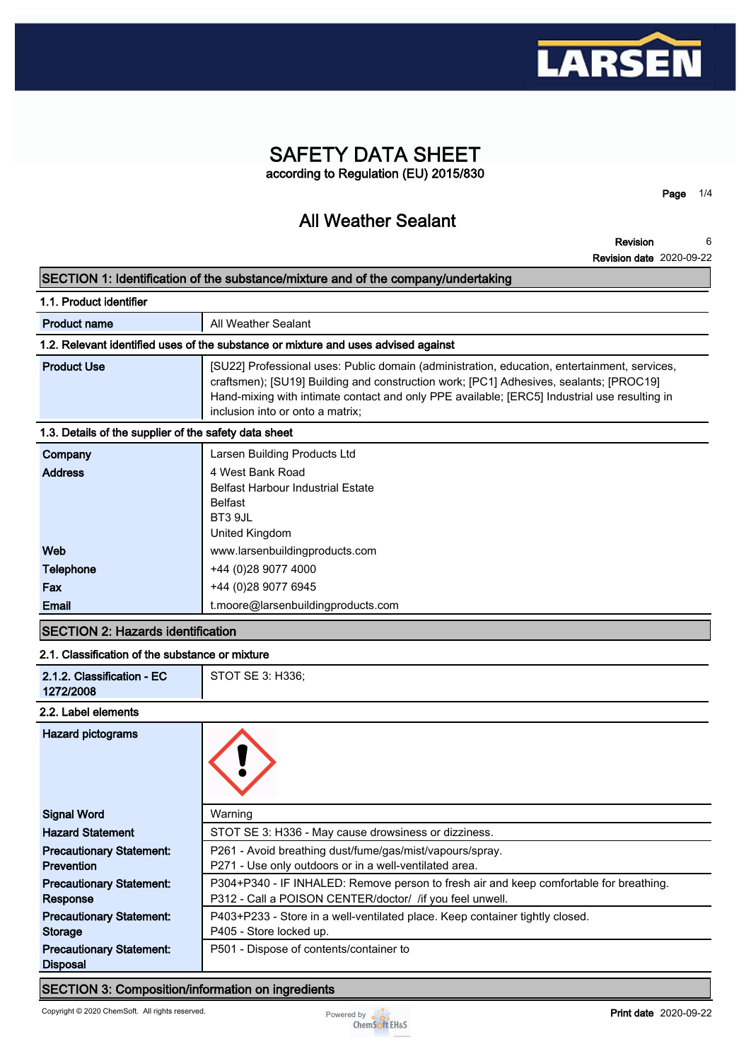

# **SAFETY DATA SHEET according to Regulation (EU) 2015/830**

**All Weather Sealant**

**Revision Revision date 2020-09-22 6**

**Page 1/4**

**SECTION 1: Identification of the substance/mixture and of the company/undertaking**

| 1.1. Product identifier                               |                                                                                                                                                                                                                                                                                                                            |
|-------------------------------------------------------|----------------------------------------------------------------------------------------------------------------------------------------------------------------------------------------------------------------------------------------------------------------------------------------------------------------------------|
| <b>Product name</b>                                   | All Weather Sealant                                                                                                                                                                                                                                                                                                        |
|                                                       | 1.2. Relevant identified uses of the substance or mixture and uses advised against                                                                                                                                                                                                                                         |
| <b>Product Use</b>                                    | [SU22] Professional uses: Public domain (administration, education, entertainment, services,<br>craftsmen); [SU19] Building and construction work; [PC1] Adhesives, sealants; [PROC19]<br>Hand-mixing with intimate contact and only PPE available; [ERC5] Industrial use resulting in<br>inclusion into or onto a matrix: |
| 1.3. Details of the supplier of the safety data sheet |                                                                                                                                                                                                                                                                                                                            |
| Company<br><b>Address</b>                             | Larsen Building Products Ltd<br>4 West Bank Road                                                                                                                                                                                                                                                                           |

| <b>Address</b>   | 4 west Bank Road                         |
|------------------|------------------------------------------|
|                  | <b>Belfast Harbour Industrial Estate</b> |
|                  | <b>Belfast</b>                           |
|                  | BT3 9JL                                  |
|                  | United Kingdom                           |
| Web              | www.larsenbuildingproducts.com           |
| <b>Telephone</b> | +44 (0) 28 9077 4000                     |
| Fax              | +44 (0) 28 9077 6945                     |
| Email            | t.moore@larsenbuildingproducts.com       |

# **SECTION 2: Hazards identification**

#### **2.1. Classification of the substance or mixture**

| 2.1.2. Classification - EC<br>1272/2008 | STOT SE 3: H336; |
|-----------------------------------------|------------------|
| .                                       |                  |

#### **2.2. Label elements**

| <b>Hazard pictograms</b>        |                                                                                        |
|---------------------------------|----------------------------------------------------------------------------------------|
| <b>Signal Word</b>              | Warning                                                                                |
| <b>Hazard Statement</b>         | STOT SE 3: H336 - May cause drowsiness or dizziness.                                   |
| <b>Precautionary Statement:</b> | P261 - Avoid breathing dust/fume/gas/mist/vapours/spray.                               |
| <b>Prevention</b>               | P271 - Use only outdoors or in a well-ventilated area.                                 |
| <b>Precautionary Statement:</b> | P304+P340 - IF INHALED: Remove person to fresh air and keep comfortable for breathing. |
| Response                        | P312 - Call a POISON CENTER/doctor/ / if you feel unwell.                              |
| <b>Precautionary Statement:</b> | P403+P233 - Store in a well-ventilated place. Keep container tightly closed.           |
| <b>Storage</b>                  | P405 - Store locked up.                                                                |
| <b>Precautionary Statement:</b> | P501 - Dispose of contents/container to                                                |
| <b>Disposal</b>                 |                                                                                        |

# **SECTION 3: Composition/information on ingredients**

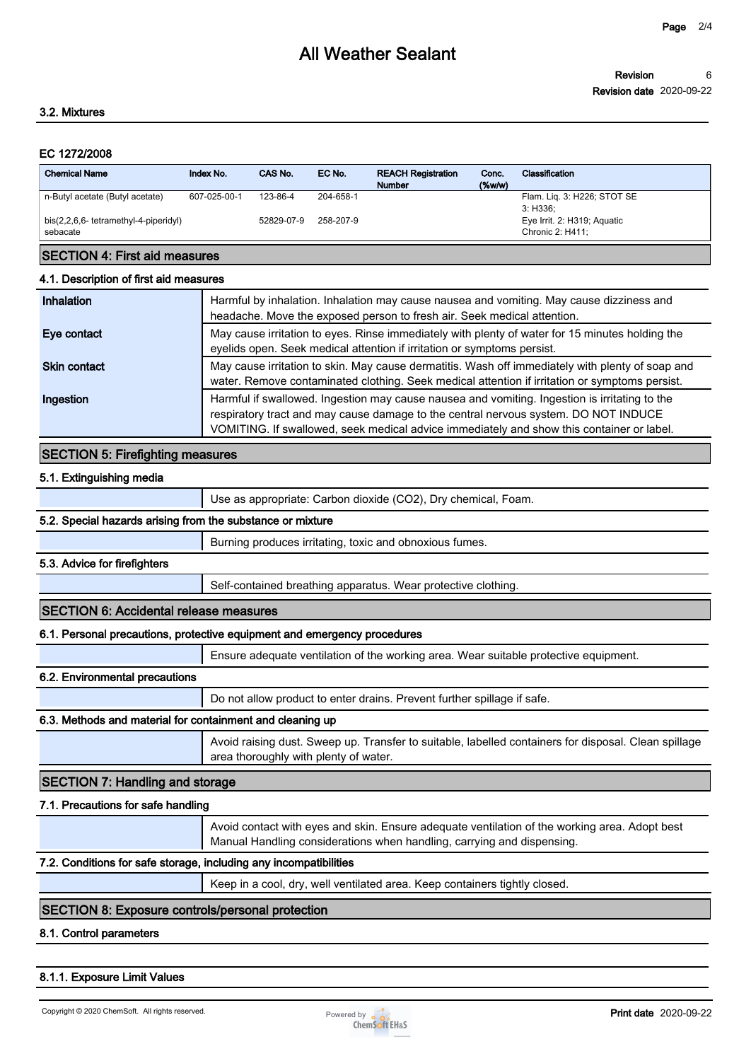#### **Revision Revision date 2020-09-22 6**

### **3.2. Mixtures**

### **EC 1272/2008**

| <b>Chemical Name</b>                              | Index No.    | CAS No.    | EC No.    | <b>REACH Registration</b><br><b>Number</b> | Conc.<br>$($ %w/w $)$ | Classification                                  |
|---------------------------------------------------|--------------|------------|-----------|--------------------------------------------|-----------------------|-------------------------------------------------|
| n-Butyl acetate (Butyl acetate)                   | 607-025-00-1 | 123-86-4   | 204-658-1 |                                            |                       | Flam. Lig. 3: H226; STOT SE<br>3: H336:         |
| bis(2,2,6,6- tetramethyl-4-piperidyl)<br>sebacate |              | 52829-07-9 | 258-207-9 |                                            |                       | Eye Irrit. 2: H319; Aguatic<br>Chronic 2: H411: |

# **SECTION 4: First aid measures**

#### **4.1. Description of first aid measures**

| Inhalation          | Harmful by inhalation. Inhalation may cause nausea and vomiting. May cause dizziness and<br>headache. Move the exposed person to fresh air. Seek medical attention.                                                                                                               |
|---------------------|-----------------------------------------------------------------------------------------------------------------------------------------------------------------------------------------------------------------------------------------------------------------------------------|
| Eye contact         | May cause irritation to eyes. Rinse immediately with plenty of water for 15 minutes holding the<br>eyelids open. Seek medical attention if irritation or symptoms persist.                                                                                                        |
| <b>Skin contact</b> | May cause irritation to skin. May cause dermatitis. Wash off immediately with plenty of soap and<br>water. Remove contaminated clothing. Seek medical attention if irritation or symptoms persist.                                                                                |
| Ingestion           | Harmful if swallowed. Ingestion may cause nausea and vomiting. Ingestion is irritating to the<br>respiratory tract and may cause damage to the central nervous system. DO NOT INDUCE<br>VOMITING. If swallowed, seek medical advice immediately and show this container or label. |

# **SECTION 5: Firefighting measures**

### **5.1. Extinguishing media**

**Use as appropriate: Carbon dioxide (CO2), Dry chemical, Foam.**

### **5.2. Special hazards arising from the substance or mixture**

**Burning produces irritating, toxic and obnoxious fumes.**

### **5.3. Advice for firefighters**

**Self-contained breathing apparatus. Wear protective clothing.**

### **SECTION 6: Accidental release measures**

## **6.1. Personal precautions, protective equipment and emergency procedures**

**Ensure adequate ventilation of the working area. Wear suitable protective equipment.**

#### **6.2. Environmental precautions**

**Do not allow product to enter drains. Prevent further spillage if safe.**

## **6.3. Methods and material for containment and cleaning up**

**Avoid raising dust. Sweep up. Transfer to suitable, labelled containers for disposal. Clean spillage area thoroughly with plenty of water.**

# **SECTION 7: Handling and storage**

#### **7.1. Precautions for safe handling**

**Avoid contact with eyes and skin. Ensure adequate ventilation of the working area. Adopt best Manual Handling considerations when handling, carrying and dispensing.**

### **7.2. Conditions for safe storage, including any incompatibilities**

**Keep in a cool, dry, well ventilated area. Keep containers tightly closed.**

# **SECTION 8: Exposure controls/personal protection**

### **8.1. Control parameters**

**8.1.1. Exposure Limit Values**

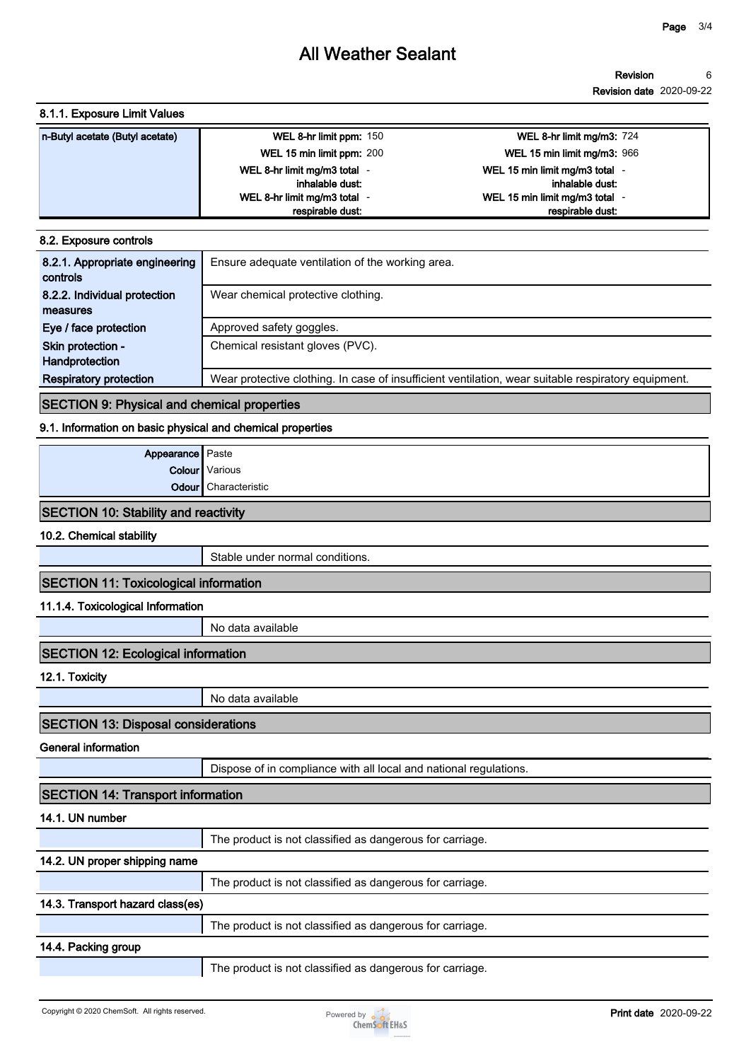# **All Weather Sealant**

#### **Revision 6**

**Revision date 2020-09-22**

## **8.1.1. Exposure Limit Values**

| n-Butyl acetate (Butyl acetate) | WEL 8-hr limit ppm: 150      | <b>WEL 8-hr limit mg/m3: 724</b> |
|---------------------------------|------------------------------|----------------------------------|
|                                 | WEL 15 min limit ppm: 200    | WEL 15 min limit mg/m3: 966      |
|                                 | WEL 8-hr limit mg/m3 total - | WEL 15 min limit mg/m3 total     |
|                                 | inhalable dust:              | inhalable dust:                  |
|                                 | WEL 8-hr limit mg/m3 total   | WEL 15 min limit mg/m3 total     |
|                                 | respirable dust:             | respirable dust.                 |

#### **8.2. Exposure controls**

| 8.2.1. Appropriate engineering<br>controls | Ensure adequate ventilation of the working area.                                                    |
|--------------------------------------------|-----------------------------------------------------------------------------------------------------|
| 8.2.2. Individual protection               | Wear chemical protective clothing.                                                                  |
| measures                                   |                                                                                                     |
| Eye / face protection                      | Approved safety goggles.                                                                            |
| Skin protection -                          | Chemical resistant gloves (PVC).                                                                    |
| Handprotection                             |                                                                                                     |
| <b>Respiratory protection</b>              | Wear protective clothing. In case of insufficient ventilation, wear suitable respiratory equipment. |

# **SECTION 9: Physical and chemical properties**

# **9.1. Information on basic physical and chemical properties**

| <b>Appearance</b> Paste |                             |
|-------------------------|-----------------------------|
|                         | Colour Various              |
|                         | <b>Odour</b> Characteristic |
|                         |                             |

# **SECTION 10: Stability and reactivity**

**10.2. Chemical stability**

**Stable under normal conditions.**

# **SECTION 11: Toxicological information**

**11.1.4. Toxicological Information**

**No data available**

# **SECTION 12: Ecological information**

**12.1. Toxicity**

**No data available**

# **SECTION 13: Disposal considerations**

**General information**

**Dispose of in compliance with all local and national regulations.**

| <b>SECTION 14: Transport information</b>                 |                                                          |  |
|----------------------------------------------------------|----------------------------------------------------------|--|
| 14.1. UN number                                          |                                                          |  |
|                                                          | The product is not classified as dangerous for carriage. |  |
| 14.2. UN proper shipping name                            |                                                          |  |
|                                                          | The product is not classified as dangerous for carriage. |  |
| 14.3. Transport hazard class(es)                         |                                                          |  |
|                                                          | The product is not classified as dangerous for carriage. |  |
| 14.4. Packing group                                      |                                                          |  |
| The product is not classified as dangerous for carriage. |                                                          |  |